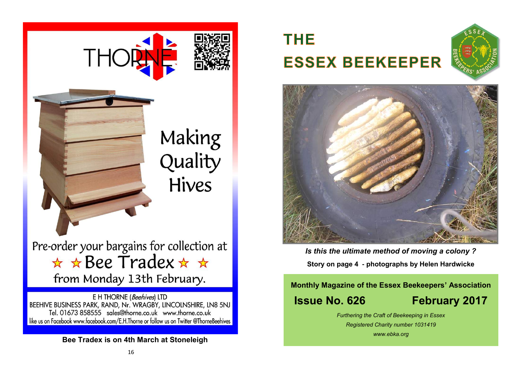

E H THORNE (Beehives) LTD BEEHIVE BUSINESS PARK, RAND, Nr. WRAGBY, LINCOLNSHIRE, LN8 5NJ Tel. 01673 858555 sales@thorne.co.uk www.thorne.co.uk like us on Facebook www.facebook.com/E.H.Thorne or follow us on Twitter @ThorneBeehives

### **Bee Tradex is on 4th March at Stoneleigh**

# **THE ESSEX BEEKEEPER**





*Photograph by Jean Smye Is this the ultimate method of moving a colony ?*  **Story on page 4 - photographs by Helen Hardwicke**

### **Monthly Magazine of the Essex Beekeepers' Association Issue No. 626 February 2017**

*Furthering the Craft of Beekeeping in Essex Registered Charity number 1031419 www.ebka.org*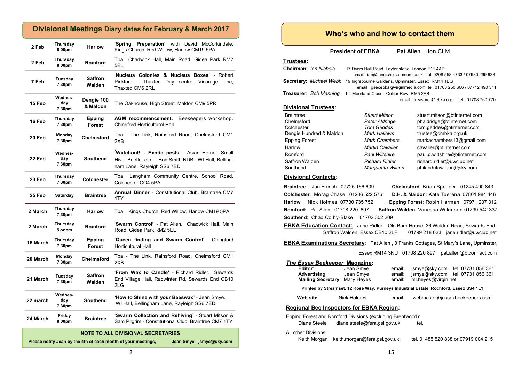### **Divisional Meetings Diary dates for February & March 2017**

| 2 Feb    | Thursday<br>8.00pm       | <b>Harlow</b>                  | 'Spring Preparation' with David McCorkindale.<br>Kings Church, Red Willow, Harlow CM19 5PA                                           |
|----------|--------------------------|--------------------------------|--------------------------------------------------------------------------------------------------------------------------------------|
| 2 Feb    | Thursday<br>8.00pm       | Romford                        | Chadwick Hall, Main Road, Gidea Park RM2<br>Tba<br>5EL                                                                               |
| 7 Feb    | Tuesday<br>7.30pm        | Saffron<br>Walden              | 'Nucleus Colonies & Nucleus Boxes' - Robert<br>Pickford.<br>Thaxted<br>Day centre, Vicarage lane,<br>Thaxted CM6 2RL                 |
| 15 Feb   | Wednes-<br>day<br>7.30pm | Dengie 100<br>& Maldon         | The Oakhouse, High Street, Maldon CM9 5PR                                                                                            |
| 16 Feb   | Thursday<br>7.30pm       | <b>Epping</b><br><b>Forest</b> | AGM recommencement.<br>Beekeepers workshop.<br>Chingford Horticultural Hall                                                          |
| 20 Feb   | Monday<br>7.30pm         | Chelmsford                     | Tba - The Link, Rainsford Road, Chelmsford CM1<br>2XB                                                                                |
| 22 Feb   | Wednes-<br>day<br>7.30pm | <b>Southend</b>                | Watchout! - Exotic pests'. Asian Hornet, Small<br>Hive Beetle, etc. - Bob Smith NDB. WI Hall, Belling-<br>ham Lane, Rayleigh SS6 7ED |
| 23 Feb   | Thursday<br>7.30pm       | Colchester                     | Tba<br>Langham Community Centre, School Road,<br>Colchester CO4 5PA                                                                  |
| 25 Feb   | Saturday                 | <b>Braintree</b>               | Annual Dinner - Constitutional Club, Braintree CM7<br>1TY                                                                            |
| 2 March  | Thursday<br>7.30pm       | <b>Harlow</b>                  | Tba<br>Kings Church, Red Willow, Harlow CM19 5PA                                                                                     |
| 2 March  | Thursday<br>8.00pm       | <b>Romford</b>                 | 'Swarm Control' - Pat Allen. Chadwick Hall, Main<br>Road, Gidea Park RM2 5EL                                                         |
| 16 March | Thursday<br>7.30pm       | Epping<br>Forest               | 'Queen finding and Swarm Control' - Chingford<br><b>Horticultural Hall</b>                                                           |
| 20 March | Monday<br>7.30pm         | <b>Chelmsford</b>              | Tba - The Link, Rainsford Road, Chelmsford CM1<br>2XB                                                                                |
| 21 March | Tuesday<br>7.30pm        | <b>Saffron</b><br>Walden       | 'From Wax to Candle' - Richard Ridler. Sewards<br>End Village Hall, Radwinter Rd, Sewards End CB10<br>2LG                            |
|          |                          |                                |                                                                                                                                      |
| 22 march | Wednes-<br>day<br>7.30pm | <b>Southend</b>                | 'How to Shine with your Beeswax' - Jean Smye.<br>WI Hall, Bellingham Lane, Rayleigh SS6 7ED                                          |

#### **NOTE TO ALL DIVISIONAL SECRETARIES**

**Please notify Jean by the 4th of each month of your meetings, Jean Smye - jsmye@sky.com**

| Jean Smye - jsmye@sky.co |  |  |
|--------------------------|--|--|
|                          |  |  |

### **Who's who and how to contact them**

**President of EBKA** Pat Allen Hon CLM

#### **Trustees:**

| <b>Chairman: Ian Nichols</b> | 17 Dyers Hall Road, Leytonstone, London E11 4AD   |                                                                     |
|------------------------------|---------------------------------------------------|---------------------------------------------------------------------|
|                              |                                                   | email ian@iannichols.demon.co.uk tel. 0208 558 4733 / 07980 299 638 |
| Secretary: Michael Webb      | 19 Ingrebourne Gardens, Upminster, Essex RM14 1BQ |                                                                     |
|                              |                                                   | email qsecebka@virqinmedia.com tel. 01708 250 606 / 07712 490 511   |
| Treasurer: Bob Manning       | 12, Moorland Close, Collier Row, RM5 2AB          |                                                                     |
|                              |                                                   | tel: 01708 760 770<br>email treasurer@ebka.org                      |
| <b>Divisional Trustees:</b>  |                                                   |                                                                     |
| <b>Braintree</b>             | <b>Stuart Mitson</b>                              | stuart.mitson@btinternet.com                                        |

| Chelmsford              | Peter Aldridge         | phaldridge@btinternet.com       |
|-------------------------|------------------------|---------------------------------|
| Colchester              | <b>Tom Geddes</b>      | tom.geddes@btinternet.com       |
| Dengie Hundred & Maldon | <b>Mark Hallows</b>    | trustee@dmbka.org.uk            |
| <b>Epping Forest</b>    | <b>Mark Chambers</b>   | markachambers13@gmail.com       |
| Harlow                  | <b>Martin Cavalier</b> | cavalier@btinternet.com         |
| Romford                 | <b>Paul Wiltshire</b>  | paul.g.wiltshire@btinternet.com |
| Saffron Walden          | <b>Richard Ridler</b>  | richard.ridler@uwclub.net       |
| Southend                | Marquerita Wilson      | philandritawilson@sky.com       |
|                         |                        |                                 |

#### **Divisional Contacts:**

**Braintree**: Jan French 07725 166 609 **Chelmsford**: Brian Spencer 01245 490 843 **Colchester**: Morag Chase 01206 522 576 **D.H. & Maldon**: Kate Tuerena 07801 984 446 **Harlow**: Nick Holmes 07730 735 752 **Epping Forest**: Robin Harman 07971 237 312 **Romford:** Pat Allen 01708 220 897 **Saffron Walden**: Vanessa Wilkinson 01799 542 337 **Southend**: Chad Colby-Blake 01702 302 209

**EBKA Education Contact:** Jane Ridler Old Barn House, 36 Walden Road, Sewards End, Saffron Walden, Essex CB10 2LF 01799 218 023 jane.ridler@uwclub.net

**EBKA Examinations Secretary:** Pat Allen , 8 Franks Cottages, St Mary's Lane, Upminster,

Essex RM14 3NU 01708 220 897 pat.allen@btconnect.com

#### *The Essex Beekeeper* **Magazine:**

| Editor:<br>Advertisina:<br>Mailing Secretary: Mary Heyes                              | Jean Smye,<br>Jean Smye | email:<br>email:<br>email: | ismye@sky.com<br>ml.heves@virgin.net | tel. 07731 856 361<br>jsmye@sky.com tel. 07731 856 361 |  |  |
|---------------------------------------------------------------------------------------|-------------------------|----------------------------|--------------------------------------|--------------------------------------------------------|--|--|
| Printed by Streamset, 12 Rose Way, Purdeys Industrial Estate, Rochford, Essex SS4 1LY |                         |                            |                                      |                                                        |  |  |

Web site: Nick Holmes email: webmaster@essexbeekeepers.com

#### **Regional Bee Inspectors for EBKA Region:**

Epping Forest and Romford Divisions (excluding Brentwood):

| Diane Steele         | diane.steele@fera.gsi.gov.uk | tel.                                |
|----------------------|------------------------------|-------------------------------------|
| All other Divisions: |                              |                                     |
| Keith Morgan         | keith.morgan@fera.gsi.gov.uk | tel. 01485 520 838 or 07919 004 215 |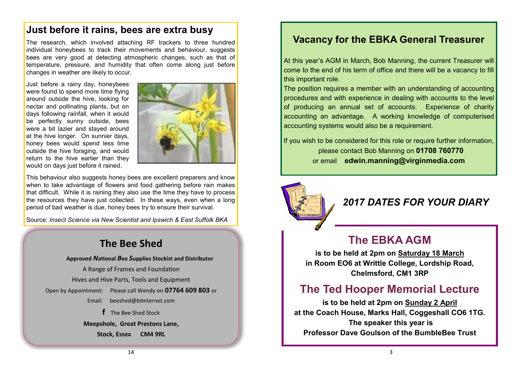### **Just before it rains, bees are extra busy**

The research, which involved attaching RF trackers to three hundred individual honeybees to track their movements and behaviour, suggests bees are very good at detecting atmospheric changes, such as that of temperature, pressure, and humidity that often come along just before changes in weather are likely to occur.

Just before a rainy day, honeybees were found to spend more time flying around outside the hive, looking for nectar and pollinating plants, but on days following rainfall, when it would be perfectly sunny outside, bees were a bit lazier and stayed around at the hive longer. On sunnier days, honey bees would spend less time outside the hive foraging, and would return to the hive earlier than they would on days just before it rained.



This behaviour also suggests honey bees are excellent preparers and know when to take advantage of flowers and food gathering before rain makes that difficult. While it is raining they also use the time they have to process the resources they have just collected. In these ways, even when a long period of bad weather is due, honey bees try to ensure their survival.

Source: *Insect Science via New Scientist and Ipswich & East Suffolk BKA*

### **The Bee Shed**

**Approved** *N***ational** *B***ee** *S***upplies Stockist and Distributor** A Range of Frames and Foundation Hives and Hive Parts, Tools and Equipment Open by Appointment: Please call Wendy on **07764 609 803** or Email: [beeshed@btinternet.com](mailto:beeshed@btinternet.com)  **f** The Bee Shed Stock **Meepshole, Great Prestons Lane,** 

**Stock, Essex CM4 9RL**

### **Vacancy for the EBKA General Treasurer**

At this year's AGM in March, Bob Manning, the current Treasurer will come to the end of his term of office and there will be a vacancy to fill this important role.

The position requires a member with an understanding of accounting procedures and with experience in dealing with accounts to the level of producing an annual set of accounts. Experience of charity accounting an advantage. A working knowledge of computerised accounting systems would also be a requirement.

If you wish to be considered for this role or require further information, please contact Bob Manning on **01708 760770** or email **edwin.manning@virginmedia.com** 



### *2017 DATES FOR YOUR DIARY*

### **The EBKA AGM**

**is to be held at 2pm on Saturday 18 March in Room EO6 at Writtle College, Lordship Road, Chelmsford, CM1 3RP**

### **The Ted Hooper Memorial Lecture**

**is to be held at 2pm on Sunday 2 April at the Coach House, Marks Hall, Coggeshall CO6 1TG. The speaker this year is Professor Dave Goulson of the BumbleBee Trust**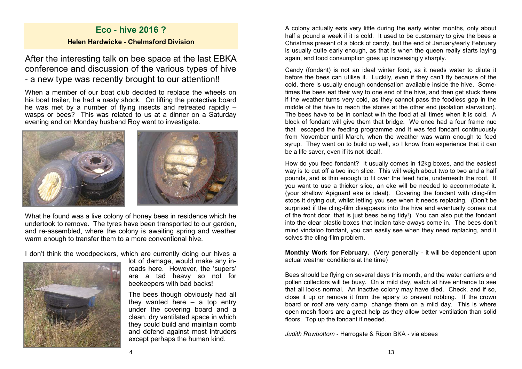### **Eco - hive 2016 ? Helen Hardwicke - Chelmsford Division**

After the interesting talk on bee space at the last EBKA conference and discussion of the various types of hive - a new type was recently brought to our attention!!

When a member of our boat club decided to replace the wheels on his boat trailer, he had a nasty shock. On lifting the protective board he was met by a number of flying insects and retreated rapidly – wasps or bees? This was related to us at a dinner on a Saturday evening and on Monday husband Roy went to investigate.



What he found was a live colony of honey bees in residence which he undertook to remove. The tyres have been transported to our garden, and re-assembled, where the colony is awaiting spring and weather warm enough to transfer them to a more conventional hive.

I don't think the woodpeckers, which are currently doing our hives a



lot of damage, would make any inroads here. However, the 'supers' are a tad heavy so not for beekeepers with bad backs!

The bees though obviously had all they wanted here – a top entry under the covering board and a clean, dry ventilated space in which they could build and maintain comb and defend against most intruders except perhaps the human kind.

A colony actually eats very little during the early winter months, only about half a pound a week if it is cold. It used to be customary to give the bees a Christmas present of a block of candy, but the end of January/early February is usually quite early enough, as that is when the queen really starts laying again, and food consumption goes up increasingly sharply.

Candy (fondant) is not an ideal winter food, as it needs water to dilute it before the bees can utilise it. Luckily, even if they can't fly because of the cold, there is usually enough condensation available inside the hive. Sometimes the bees eat their way to one end of the hive, and then get stuck there if the weather turns very cold, as they cannot pass the foodless gap in the middle of the hive to reach the stores at the other end (isolation starvation). The bees have to be in contact with the food at all times when it is cold. A block of fondant will give them that bridge. We once had a four frame nuc that escaped the feeding programme and it was fed fondant continuously from November until March, when the weather was warm enough to feed syrup. They went on to build up well, so I know from experience that it can be a life saver, even if its not ideal!.

How do you feed fondant? It usually comes in 12kg boxes, and the easiest way is to cut off a two inch slice. This will weigh about two to two and a half pounds, and is thin enough to fit over the feed hole, underneath the roof. If you want to use a thicker slice, an eke will be needed to accommodate it. (your shallow Apiguard eke is ideal). Covering the fondant with cling-film stops it drying out, whilst letting you see when it needs replacing. (Don't be surprised if the cling-film disappears into the hive and eventually comes out of the front door, that is just bees being tidy!) You can also put the fondant into the clear plastic boxes that Indian take-aways come in. The bees don't mind vindaloo fondant, you can easily see when they need replacing, and it solves the cling-film problem.

**Monthly Work for February.** (Very generally - it will be dependent upon actual weather conditions at the time)

Bees should be flying on several days this month, and the water carriers and pollen collectors will be busy. On a mild day, watch at hive entrance to see that all looks normal. An inactive colony may have died. Check, and if so, close it up or remove it from the apiary to prevent robbing. If the crown board or roof are very damp, change them on a mild day. This is where open mesh floors are a great help as they allow better ventilation than solid floors. Top up the fondant if needed.

*Judith Rowbottom* - Harrogate & Ripon BKA - via ebees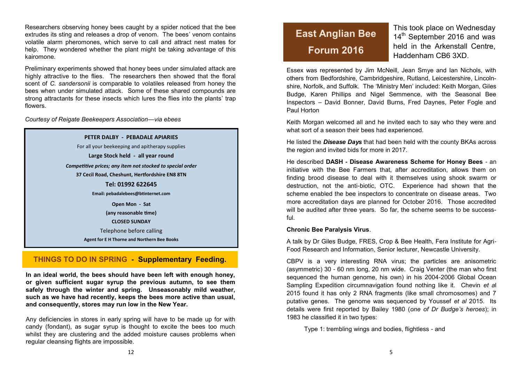Researchers observing honey bees caught by a spider noticed that the bee extrudes its sting and releases a drop of venom. The bees' venom contains volatile alarm pheromones, which serve to call and attract nest mates for help. They wondered whether the plant might be taking advantage of this kairomone.

Preliminary experiments showed that honey bees under simulated attack are highly attractive to the flies. The researchers then showed that the floral scent of *C. sandersonii* is comparable to volatiles released from honey the bees when under simulated attack. Some of these shared compounds are strong attractants for these insects which lures the flies into the plants' trap flowers.

*Courtesy of Reigate Beekeepers Association—via ebees*

**PETER DALBY - PEBADALE APIARIES** For all your beekeeping and apitherapy supplies **Large Stock held - all year round** *Competitive prices; any item not stocked to special order* **37 Cecil Road, Cheshunt, Hertfordshire EN8 8TN Tel: 01992 622645 Email: pebadalebees@btinternet.com Open Mon - Sat (any reasonable time) CLOSED SUNDAY** Telephone before calling **Agent for E H Thorne and Northern Bee Books**

### **THINGS TO DO IN SPRING - Supplementary Feeding.**

**In an ideal world, the bees should have been left with enough honey, or given sufficient sugar syrup the previous autumn, to see them safely through the winter and spring. Unseasonably mild weather, such as we have had recently, keeps the bees more active than usual, and consequently, stores may run low in the New Year.**

Any deficiencies in stores in early spring will have to be made up for with candy (fondant), as sugar syrup is thought to excite the bees too much whilst they are clustering and the added moisture causes problems when regular cleansing flights are impossible.

## **East Anglian Bee Forum 2016**

This took place on Wednesday 14<sup>th</sup> September 2016 and was held in the Arkenstall Centre, Haddenham CB6 3XD.

Essex was represented by Jim McNeill, Jean Smye and Ian Nichols, with others from Bedfordshire, Cambridgeshire, Rutland, Leicestershire, Lincolnshire, Norfolk, and Suffolk. The 'Ministry Men' included: Keith Morgan, Giles Budge, Karen Phillips and Nigel Semmence, with the Seasonal Bee Inspectors – David Bonner, David Burns, Fred Daynes, Peter Fogle and Paul Horton

Keith Morgan welcomed all and he invited each to say who they were and what sort of a season their bees had experienced.

He listed the *Disease Days* that had been held with the county BKAs across the region and invited bids for more in 2017.

He described **DASH - Disease Awareness Scheme for Honey Bees** - an initiative with the Bee Farmers that, after accreditation, allows them on finding brood disease to deal with it themselves using shook swarm or destruction, not the anti-biotic, OTC. Experience had shown that the scheme enabled the bee inspectors to concentrate on disease areas. Two more accreditation days are planned for October 2016. Those accredited will be audited after three years. So far, the scheme seems to be successful.

#### **Chronic Bee Paralysis Virus**.

A talk by Dr Giles Budge, FRES, Crop & Bee Health, Fera Institute for Agri-Food Research and Information, Senior lecturer, Newcastle University.

CBPV is a very interesting RNA virus; the particles are anisometric (asymmetric) 30 - 60 nm long, 20 nm wide. Craig Venter (the man who first sequenced the human genome, his own) in his 2004-2006 Global Ocean Sampling Expedition circumnavigation found nothing like it. Chevin *et a*l 2015 found it has only 2 RNA fragments (like small chromosomes) and 7 putative genes. The genome was sequenced by Youssef *et al* 2015. Its details were first reported by Bailey 1980 (*one of Dr Budge's heroes*); in 1983 he classified it in two types:

Type 1: trembling wings and bodies, flightless - and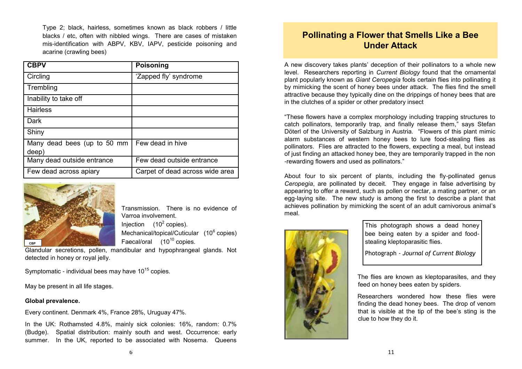Type 2; black, hairless, sometimes known as black robbers / little blacks / etc, often with nibbled wings. There are cases of mistaken mis-identification with ABPV, KBV, IAPV, pesticide poisoning and acarine (crawling bees)

| <b>CBPV</b>                 | <b>Poisoning</b>                |
|-----------------------------|---------------------------------|
| Circling                    | 'Zapped fly' syndrome           |
| Trembling                   |                                 |
| Inability to take off       |                                 |
| <b>Hairless</b>             |                                 |
| Dark                        |                                 |
| Shiny                       |                                 |
| Many dead bees (up to 50 mm | Few dead in hive                |
| deep)                       |                                 |
| Many dead outside entrance  | Few dead outside entrance       |
| Few dead across apiary      | Carpet of dead across wide area |



Transmission. There is no evidence of Varroa involvement. Injection  $(10^2 \text{ copies}).$ Mechanical/topical/Cuticular (10<sup>6</sup> copies) Faecal/oral  $(10^{10}$  copies.

Glandular secretions, pollen, mandibular and hypophrangeal glands. Not detected in honey or royal jelly.

Symptomatic - individual bees may have  $10^{15}$  copies.

May be present in all life stages.

### **Global prevalence.**

Every continent. Denmark 4%, France 28%, Uruguay 47%.

In the UK: Rothamsted 4.8%, mainly sick colonies: 16%, random: 0.7% (Budge). Spatial distribution: mainly south and west. Occurrence: early summer. In the UK, reported to be associated with Nosema. Queens

### **Pollinating a Flower that Smells Like a Bee Under Attack**

A new discovery takes plants' deception of their pollinators to a whole new level. Researchers reporting in *Current Biology* found that the ornamental plant popularly known as *Giant Ceropegia* fools certain flies into pollinating it by mimicking the scent of honey bees under attack. The flies find the smell attractive because they typically dine on the drippings of honey bees that are in the clutches of a spider or other predatory insect

"These flowers have a complex morphology including trapping structures to catch pollinators, temporarily trap, and finally release them," says Stefan Döterl of the University of Salzburg in Austria. "Flowers of this plant mimic alarm substances of western honey bees to lure food-stealing flies as pollinators. Flies are attracted to the flowers, expecting a meal, but instead of just finding an attacked honey bee, they are temporarily trapped in the non -rewarding flowers and used as pollinators."

About four to six percent of plants, including the fly-pollinated genus *Ceropegia*, are pollinated by deceit. They engage in false advertising by appearing to offer a reward, such as pollen or nectar, a mating partner, or an egg-laying site. The new study is among the first to describe a plant that achieves pollination by mimicking the scent of an adult carnivorous animal's meal.



This photograph shows a dead honey bee being eaten by a spider and foodstealing kleptoparasitic flies.

Photograph - *Journal of Current Biology*

The flies are known as kleptoparasites, and they feed on honey bees eaten by spiders.

Researchers wondered how these flies were finding the dead honey bees. The drop of venom that is visible at the tip of the bee's sting is the clue to how they do it.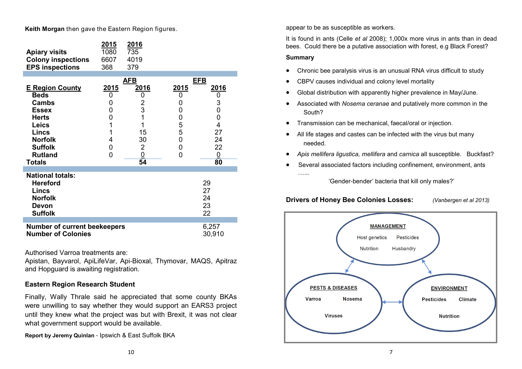**Keith Morgan** then gave the Eastern Region figures.

| <b>Apiary visits</b><br><b>Colony inspections</b><br><b>EPS inspections</b>                                                                                                 | <u>2015</u><br>1080<br>6607<br>368                       | <u>2016</u><br>735<br>4019<br>379                                                     |                                                   |                                                                                                      |
|-----------------------------------------------------------------------------------------------------------------------------------------------------------------------------|----------------------------------------------------------|---------------------------------------------------------------------------------------|---------------------------------------------------|------------------------------------------------------------------------------------------------------|
| <b>E Region County</b><br><b>Beds</b><br><b>Cambs</b><br><b>Essex</b><br><b>Herts</b><br><b>Leics</b><br><b>Lincs</b><br><b>Norfolk</b><br><b>Suffolk</b><br><b>Rutland</b> | <u>2015</u><br>0<br>0<br>0<br>0<br>1<br>1<br>4<br>0<br>0 | <u>AFB</u><br><u>2016</u><br>0<br>$\overline{2}$<br>3<br>1<br>1<br>15<br>30<br>2<br>0 | 2015<br>0<br>0<br>0<br>0<br>5<br>5<br>0<br>0<br>0 | <u>EFB</u><br><u> 2016</u><br>0<br>3<br>0<br>0<br>$\overline{4}$<br>27<br>24<br>22<br>$\overline{0}$ |
| <b>Totals</b>                                                                                                                                                               |                                                          | 54                                                                                    |                                                   | 80                                                                                                   |
| <b>National totals:</b><br><b>Hereford</b><br><b>Lincs</b><br><b>Norfolk</b><br>Devon<br><b>Suffolk</b>                                                                     |                                                          |                                                                                       |                                                   | 29<br>27<br>24<br>23<br>22                                                                           |
| <b>Number of current beekeepers</b><br><b>Number of Colonies</b>                                                                                                            |                                                          |                                                                                       |                                                   | 6,257<br>30,910                                                                                      |

Authorised Varroa treatments are:

Apistan, Bayvarol, ApiLifeVar, Api-Bioxal, Thymovar, MAQS, Apitraz and Hopguard is awaiting registration.

### **Eastern Region Research Student**

Finally, Wally Thrale said he appreciated that some county BKAs were unwilling to say whether they would support an EARS3 project until they knew what the project was but with Brexit, it was not clear what government support would be available.

**Report by Jeremy Quinlan** - Ipswich & East Suffolk BKA

appear to be as susceptible as workers.

It is found in ants (Celle *et al* 2008); 1,000x more virus in ants than in dead bees. Could there be a putative association with forest, e.g Black Forest?

### **Summary**

- Chronic bee paralysis virus is an unusual RNA virus difficult to study
- CBPV causes individual and colony level mortality
- Global distribution with apparently higher prevalence in May/June.
- Associated with *Nosema ceranae* and putatively more common in the South?
- Transmission can be mechanical, faecal/oral or injection.
- All life stages and castes can be infected with the virus but many needed.
- *Apis mellifera ligustica, mellifera* and *carnica* all susceptible. Buckfast?
- Several associated factors including confinement, environment, ants …...

'Gender-bender' bacteria that kill only males?'

### **Drivers of Honey Bee Colonies Losses:** *(Vanbergen et al 2013)*